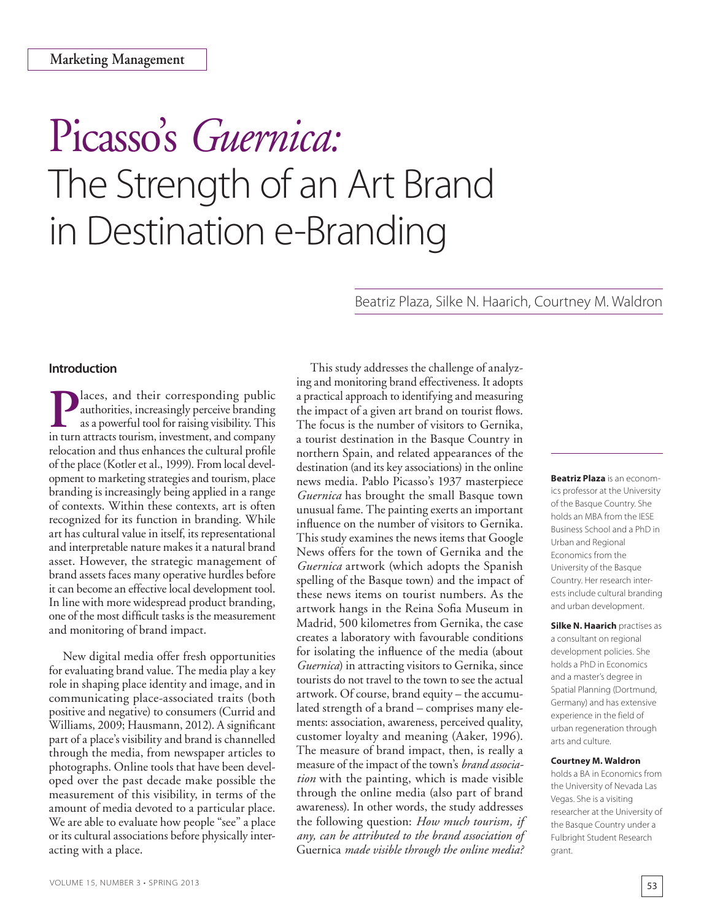# Picasso's *Guernica:* The Strength of an Art Brand in Destination e-Branding

Beatriz Plaza, Silke N. Haarich, Courtney M. Waldron

# **Introduction**

**Places, and their corresponding public authorities, increasingly perceive branding as a powerful tool for raising visibility. This** authorities, increasingly perceive branding as a powerful tool for raising visibility. This in turn attracts tourism, investment, and company relocation and thus enhances the cultural profile of the place (Kotler et al., 1999). From local development to marketing strategies and tourism, place branding is increasingly being applied in a range of contexts. Within these contexts, art is often recognized for its function in branding. While art has cultural value in itself, its representational and interpretable nature makes it a natural brand asset. However, the strategic management of brand assets faces many operative hurdles before it can become an effective local development tool. In line with more widespread product branding, one of the most difficult tasks is the measurement and monitoring of brand impact.

New digital media offer fresh opportunities for evaluating brand value. The media play a key role in shaping place identity and image, and in communicating place-associated traits (both positive and negative) to consumers (Currid and Williams, 2009; Hausmann, 2012). A significant part of a place's visibility and brand is channelled through the media, from newspaper articles to photographs. Online tools that have been developed over the past decade make possible the measurement of this visibility, in terms of the amount of media devoted to a particular place. We are able to evaluate how people "see" a place or its cultural associations before physically interacting with a place.

This study addresses the challenge of analyzing and monitoring brand effectiveness. It adopts a practical approach to identifying and measuring the impact of a given art brand on tourist flows. The focus is the number of visitors to Gernika, a tourist destination in the Basque Country in northern Spain, and related appearances of the destination (and its key associations) in the online news media. Pablo Picasso's 1937 masterpiece *Guernica* has brought the small Basque town unusual fame. The painting exerts an important influence on the number of visitors to Gernika. This study examines the news items that Google News offers for the town of Gernika and the *Guernica* artwork (which adopts the Spanish spelling of the Basque town) and the impact of these news items on tourist numbers. As the artwork hangs in the Reina Sofia Museum in Madrid, 500 kilometres from Gernika, the case creates a laboratory with favourable conditions for isolating the influence of the media (about *Guernica*) in attracting visitors to Gernika, since tourists do not travel to the town to see the actual artwork. Of course, brand equity – the accumulated strength of a brand – comprises many elements: association, awareness, perceived quality, customer loyalty and meaning (Aaker, 1996). The measure of brand impact, then, is really a measure of the impact of the town's *brand association* with the painting, which is made visible through the online media (also part of brand awareness). In other words, the study addresses the following question: *How much tourism, if any, can be attributed to the brand association of*  Guernica *made visible through the online media?*

**Beatriz Plaza** is an economics professor at the University of the Basque Country. She holds an MBA from the IESE Business School and a PhD in Urban and Regional Economics from the University of the Basque Country. Her research interests include cultural branding and urban development.

**Silke N. Haarich practises as** a consultant on regional development policies. She holds a PhD in Economics and a master's degree in Spatial Planning (Dortmund, Germany) and has extensive experience in the field of urban regeneration through arts and culture.

#### **Courtney M. Waldron**

holds a BA in Economics from the University of Nevada Las Vegas. She is a visiting researcher at the University of the Basque Country under a Fulbright Student Research grant.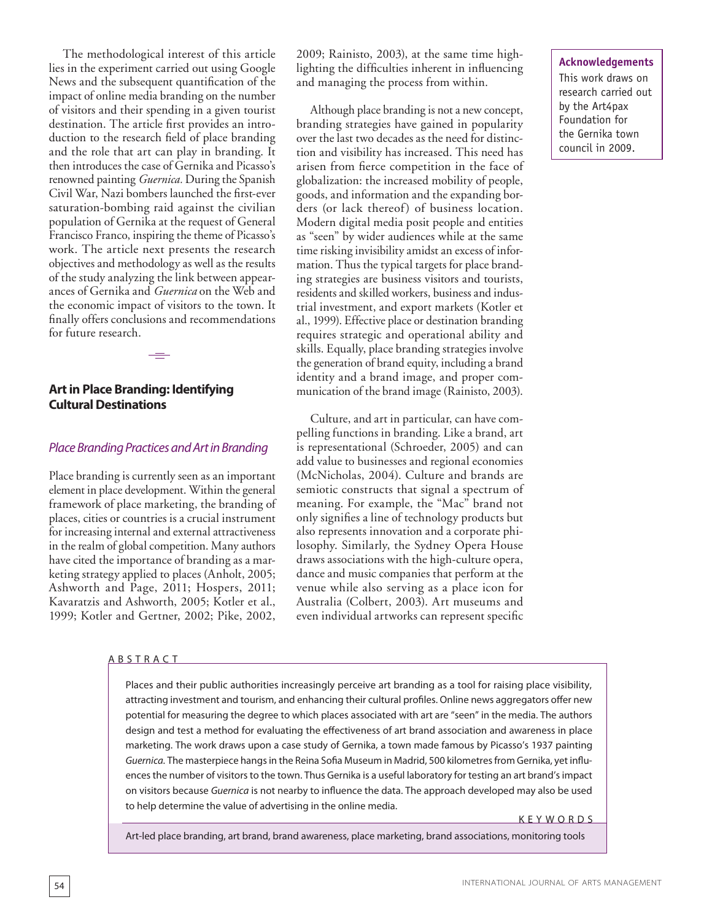The methodological interest of this article lies in the experiment carried out using Google News and the subsequent quantification of the impact of online media branding on the number of visitors and their spending in a given tourist destination. The article first provides an introduction to the research field of place branding and the role that art can play in branding. It then introduces the case of Gernika and Picasso's renowned painting *Guernica.* During the Spanish Civil War, Nazi bombers launched the first-ever saturation-bombing raid against the civilian population of Gernika at the request of General Francisco Franco, inspiring the theme of Picasso's work. The article next presents the research objectives and methodology as well as the results of the study analyzing the link between appearances of Gernika and *Guernica* on the Web and the economic impact of visitors to the town. It finally offers conclusions and recommendations for future research.

# **Art in Place Branding: Identifying Cultural Destinations**

## *Place Branding Practices and Art in Branding*

Place branding is currently seen as an important element in place development. Within the general framework of place marketing, the branding of places, cities or countries is a crucial instrument for increasing internal and external attractiveness in the realm of global competition. Many authors have cited the importance of branding as a marketing strategy applied to places (Anholt, 2005; Ashworth and Page, 2011; Hospers, 2011; Kavaratzis and Ashworth, 2005; Kotler et al., 1999; Kotler and Gertner, 2002; Pike, 2002,

#### A B S T R A C T

2009; Rainisto, 2003), at the same time highlighting the difficulties inherent in influencing and managing the process from within.

Although place branding is not a new concept, branding strategies have gained in popularity over the last two decades as the need for distinction and visibility has increased. This need has arisen from fierce competition in the face of globalization: the increased mobility of people, goods, and information and the expanding borders (or lack thereof) of business location. Modern digital media posit people and entities as "seen" by wider audiences while at the same time risking invisibility amidst an excess of information. Thus the typical targets for place branding strategies are business visitors and tourists, residents and skilled workers, business and industrial investment, and export markets (Kotler et al., 1999). Effective place or destination branding requires strategic and operational ability and skills. Equally, place branding strategies involve the generation of brand equity, including a brand identity and a brand image, and proper communication of the brand image (Rainisto, 2003).

Culture, and art in particular, can have compelling functions in branding. Like a brand, art is representational (Schroeder, 2005) and can add value to businesses and regional economies (McNicholas, 2004). Culture and brands are semiotic constructs that signal a spectrum of meaning. For example, the "Mac" brand not only signifies a line of technology products but also represents innovation and a corporate philosophy. Similarly, the Sydney Opera House draws associations with the high-culture opera, dance and music companies that perform at the venue while also serving as a place icon for Australia (Colbert, 2003). Art museums and even individual artworks can represent specific

**Acknowledgements** This work draws on research carried out by the Art4pax Foundation for the Gernika town council in 2009.

INTERNATIONAL JOURNAL OF ARTS MANAGEMENT

Places and their public authorities increasingly perceive art branding as a tool for raising place visibility, attracting investment and tourism, and enhancing their cultural profiles. Online news aggregators offer new potential for measuring the degree to which places associated with art are "seen" in the media. The authors design and test a method for evaluating the effectiveness of art brand association and awareness in place marketing. The work draws upon a case study of Gernika, a town made famous by Picasso's 1937 painting *Guernica.* The masterpiece hangs in the Reina Sofia Museum in Madrid, 500 kilometres from Gernika, yet influences the number of visitors to the town. Thus Gernika is a useful laboratory for testing an art brand's impact on visitors because *Guernica* is not nearby to influence the data. The approach developed may also be used to help determine the value of advertising in the online media.

K E Y W O R D S

Art-led place branding, art brand, brand awareness, place marketing, brand associations, monitoring tools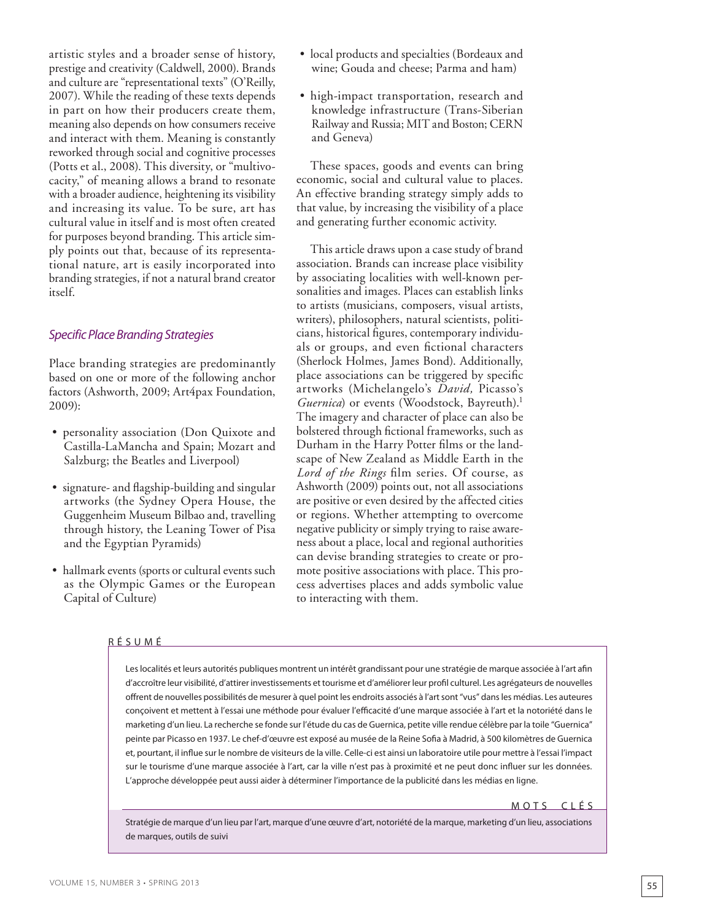artistic styles and a broader sense of history, prestige and creativity (Caldwell, 2000). Brands and culture are "representational texts" (O'Reilly, 2007). While the reading of these texts depends in part on how their producers create them, meaning also depends on how consumers receive and interact with them. Meaning is constantly reworked through social and cognitive processes (Potts et al., 2008). This diversity, or "multivocacity," of meaning allows a brand to resonate with a broader audience, heightening its visibility and increasing its value. To be sure, art has cultural value in itself and is most often created for purposes beyond branding. This article simply points out that, because of its representational nature, art is easily incorporated into branding strategies, if not a natural brand creator itself.

# *Specific Place Branding Strategies*

Place branding strategies are predominantly based on one or more of the following anchor factors (Ashworth, 2009; Art4pax Foundation, 2009):

- personality association (Don Quixote and Castilla-LaMancha and Spain; Mozart and Salzburg; the Beatles and Liverpool)
- signature- and flagship-building and singular artworks (the Sydney Opera House, the Guggenheim Museum Bilbao and, travelling through history, the Leaning Tower of Pisa and the Egyptian Pyramids)
- hallmark events (sports or cultural events such as the Olympic Games or the European Capital of Culture)

#### R É S U M É

Les localités et leurs autorités publiques montrent un intérêt grandissant pour une stratégie de marque associée à l'art afin d'accroître leur visibilité, d'attirer investissements et tourisme et d'améliorer leur profil culturel. Les agrégateurs de nouvelles offrent de nouvelles possibilités de mesurer à quel point les endroits associés à l'art sont "vus" dans les médias. Les auteures conçoivent et mettent à l'essai une méthode pour évaluer l'efficacité d'une marque associée à l'art et la notoriété dans le marketing d'un lieu. La recherche se fonde sur l'étude du cas de Guernica, petite ville rendue célèbre par la toile "Guernica" peinte par Picasso en 1937. Le chef-d'œuvre est exposé au musée de la Reine Sofia à Madrid, à 500 kilomètres de Guernica et, pourtant, il influe sur le nombre de visiteurs de la ville. Celle-ci est ainsi un laboratoire utile pour mettre à l'essai l'impact sur le tourisme d'une marque associée à l'art, car la ville n'est pas à proximité et ne peut donc influer sur les données. L'approche développée peut aussi aider à déterminer l'importance de la publicité dans les médias en ligne.

#### MOTS CLÉS

Stratégie de marque d'un lieu par l'art, marque d'une œuvre d'art, notoriété de la marque, marketing d'un lieu, associations de marques, outils de suivi

- local products and specialties (Bordeaux and wine; Gouda and cheese; Parma and ham)
- high-impact transportation, research and knowledge infrastructure (Trans-Siberian Railway and Russia; MIT and Boston; CERN and Geneva)

These spaces, goods and events can bring economic, social and cultural value to places. An effective branding strategy simply adds to that value, by increasing the visibility of a place and generating further economic activity.

This article draws upon a case study of brand association. Brands can increase place visibility by associating localities with well-known personalities and images. Places can establish links to artists (musicians, composers, visual artists, writers), philosophers, natural scientists, politicians, historical figures, contemporary individuals or groups, and even fictional characters (Sherlock Holmes, James Bond). Additionally, place associations can be triggered by specific artworks (Michelangelo's *David,* Picasso's *Guernica*) or events (Woodstock, Bayreuth).<sup>1</sup> The imagery and character of place can also be bolstered through fictional frameworks, such as Durham in the Harry Potter films or the landscape of New Zealand as Middle Earth in the *Lord of the Rings* film series. Of course, as Ashworth (2009) points out, not all associations are positive or even desired by the affected cities or regions. Whether attempting to overcome negative publicity or simply trying to raise awareness about a place, local and regional authorities can devise branding strategies to create or promote positive associations with place. This process advertises places and adds symbolic value to interacting with them.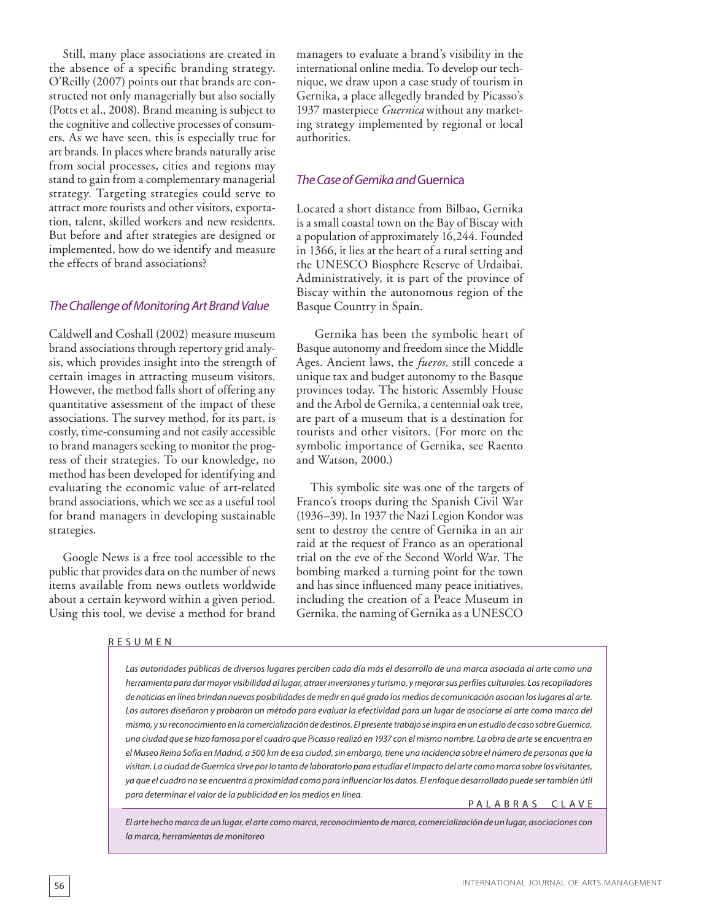Still, many place associations are created in the absence of a specific branding strategy. O'Reilly (2007) points out that brands are constructed not only managerially but also socially (Potts et al., 2008). Brand meaning is subject to the cognitive and collective processes of consumers. As we have seen, this is especially true for art brands. In places where brands naturally arise from social processes, cities and regions may stand to gain from a complementary managerial strategy. Targeting strategies could serve to attract more tourists and other visitors, exportation, talent, skilled workers and new residents. But before and after strategies are designed or implemented, how do we identify and measure the effects of brand associations?

# *The Challenge of Monitoring Art Brand Value*

Caldwell and Coshall (2002) measure museum brand associations through repertory grid analysis, which provides insight into the strength of certain images in attracting museum visitors. However, the method falls short of offering any quantitative assessment of the impact of these associations. The survey method, for its part, is costly, time-consuming and not easily accessible to brand managers seeking to monitor the progress of their strategies. To our knowledge, no method has been developed for identifying and evaluating the economic value of art-related brand associations, which we see as a useful tool for brand managers in developing sustainable strategies.

Google News is a free tool accessible to the public that provides data on the number of news items available from news outlets worldwide about a certain keyword within a given period. Using this tool, we devise a method for brand

#### R E S U M E N

managers to evaluate a brand's visibility in the international online media. To develop our technique, we draw upon a case study of tourism in Gernika, a place allegedly branded by Picasso's 1937 masterpiece *Guernica* without any marketing strategy implemented by regional or local authorities.

# *The Case of Gernika and* Guernica

Located a short distance from Bilbao, Gernika is a small coastal town on the Bay of Biscay with a population of approximately 16,244. Founded in 1366, it lies at the heart of a rural setting and the UNESCO Biosphere Reserve of Urdaibai. Administratively, it is part of the province of Biscay within the autonomous region of the Basque Country in Spain.

 Gernika has been the symbolic heart of Basque autonomy and freedom since the Middle Ages. Ancient laws, the *fueros,* still concede a unique tax and budget autonomy to the Basque provinces today. The historic Assembly House and the Arbol de Gernika, a centennial oak tree, are part of a museum that is a destination for tourists and other visitors. (For more on the symbolic importance of Gernika, see Raento and Watson, 2000.)

This symbolic site was one of the targets of Franco's troops during the Spanish Civil War (1936–39). In 1937 the Nazi Legion Kondor was sent to destroy the centre of Gernika in an air raid at the request of Franco as an operational trial on the eve of the Second World War. The bombing marked a turning point for the town and has since influenced many peace initiatives, including the creation of a Peace Museum in Gernika, the naming of Gernika as a UNESCO

*Las autoridades públicas de diversos lugares perciben cada día más el desarrollo de una marca asociada al arte como una herramienta para dar mayor visibilidad al lugar, atraer inversiones y turismo, y mejorar sus perfiles culturales. Los recopiladores de noticias en línea brindan nuevas posibilidades de medir en qué grado los medios de comunicación asocian los lugares al arte. Los autores diseñaron y probaron un método para evaluar la efectividad para un lugar de asociarse al arte como marca del mismo, y su reconocimiento en la comercialización de destinos. El presente trabajo se inspira en un estudio de caso sobre Guernica, una ciudad que se hizo famosa por el cuadro que Picasso realizó en 1937 con el mismo nombre. La obra de arte se encuentra en el Museo Reina Sofía en Madrid, a 500 km de esa ciudad, sin embargo, tiene una incidencia sobre el número de personas que la visitan. La ciudad de Guernica sirve por lo tanto de laboratorio para estudiar el impacto del arte como marca sobre los visitantes, ya que el cuadro no se encuentra a proximidad como para influenciar los datos. El enfoque desarrollado puede ser también útil para determinar el valor de la publicidad en los medios en línea.*

#### PALABRAS CLAVE

*El arte hecho marca de un lugar, el arte como marca, reconocimiento de marca, comercialización de un lugar, asociaciones con la marca, herramientas de monitoreo*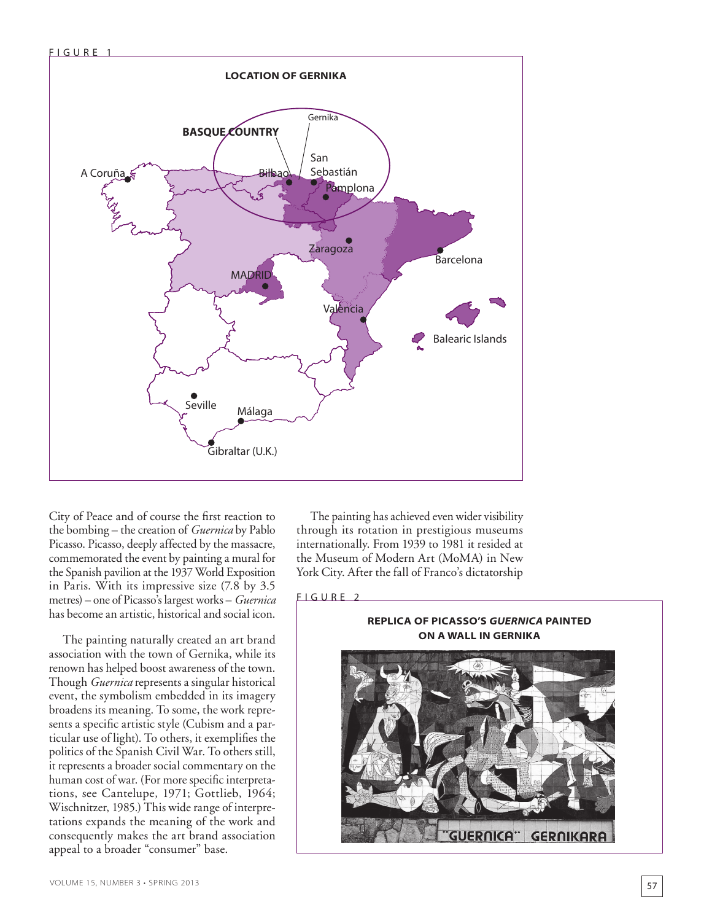

City of Peace and of course the first reaction to the bombing – the creation of *Guernica* by Pablo Picasso. Picasso, deeply affected by the massacre, commemorated the event by painting a mural for the Spanish pavilion at the 1937 World Exposition in Paris. With its impressive size (7.8 by 3.5 metres) – one of Picasso's largest works – *Guernica* has become an artistic, historical and social icon.

The painting naturally created an art brand association with the town of Gernika, while its renown has helped boost awareness of the town. Though *Guernica* represents a singular historical event, the symbolism embedded in its imagery broadens its meaning. To some, the work represents a specific artistic style (Cubism and a particular use of light). To others, it exemplifies the politics of the Spanish Civil War. To others still, it represents a broader social commentary on the human cost of war. (For more specific interpretations, see Cantelupe, 1971; Gottlieb, 1964; Wischnitzer, 1985.) This wide range of interpretations expands the meaning of the work and consequently makes the art brand association appeal to a broader "consumer" base.

The painting has achieved even wider visibility through its rotation in prestigious museums internationally. From 1939 to 1981 it resided at the Museum of Modern Art (MoMA) in New York City. After the fall of Franco's dictatorship

## FIGURE<sub>2</sub>

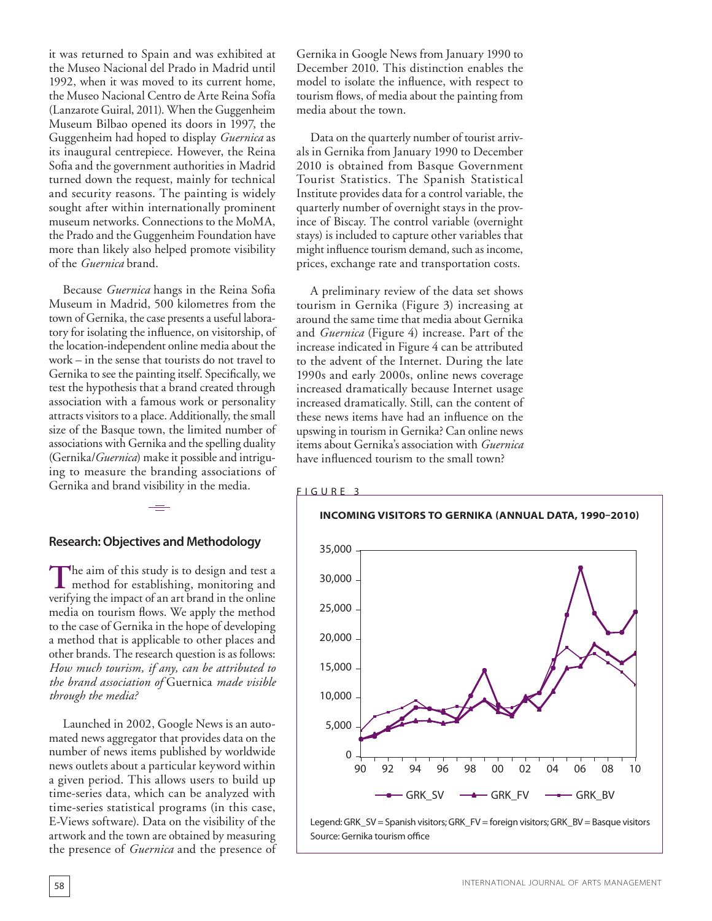it was returned to Spain and was exhibited at the Museo Nacional del Prado in Madrid until 1992, when it was moved to its current home, the Museo Nacional Centro de Arte Reina Sofía (Lanzarote Guiral, 2011). When the Guggenheim Museum Bilbao opened its doors in 1997, the Guggenheim had hoped to display *Guernica* as its inaugural centrepiece. However, the Reina Sofia and the government authorities in Madrid turned down the request, mainly for technical and security reasons. The painting is widely sought after within internationally prominent museum networks. Connections to the MoMA, the Prado and the Guggenheim Foundation have more than likely also helped promote visibility of the *Guernica* brand.

Because *Guernica* hangs in the Reina Sofia Museum in Madrid, 500 kilometres from the town of Gernika, the case presents a useful laboratory for isolating the influence, on visitorship, of the location-independent online media about the work – in the sense that tourists do not travel to Gernika to see the painting itself. Specifically, we test the hypothesis that a brand created through association with a famous work or personality attracts visitors to a place. Additionally, the small size of the Basque town, the limited number of associations with Gernika and the spelling duality (Gernika/*Guernica*) make it possible and intriguing to measure the branding associations of Gernika and brand visibility in the media.

# **Research: Objectives and Methodology**

The aim of this study is to design and test a method for establishing, monitoring and verifying the impact of an art brand in the online media on tourism flows. We apply the method to the case of Gernika in the hope of developing a method that is applicable to other places and other brands. The research question is as follows: *How much tourism, if any, can be attributed to the brand association of* Guernica *made visible through the media?*

Launched in 2002, Google News is an automated news aggregator that provides data on the number of news items published by worldwide news outlets about a particular keyword within a given period. This allows users to build up time-series data, which can be analyzed with time-series statistical programs (in this case, E-Views software). Data on the visibility of the artwork and the town are obtained by measuring the presence of *Guernica* and the presence of Gernika in Google News from January 1990 to December 2010. This distinction enables the model to isolate the influence, with respect to tourism flows, of media about the painting from media about the town.

Data on the quarterly number of tourist arrivals in Gernika from January 1990 to December 2010 is obtained from Basque Government Tourist Statistics. The Spanish Statistical Institute provides data for a control variable, the quarterly number of overnight stays in the province of Biscay. The control variable (overnight stays) is included to capture other variables that might influence tourism demand, such as income, prices, exchange rate and transportation costs.

A preliminary review of the data set shows tourism in Gernika (Figure 3) increasing at around the same time that media about Gernika and *Guernica* (Figure 4) increase. Part of the increase indicated in Figure 4 can be attributed to the advent of the Internet. During the late 1990s and early 2000s, online news coverage increased dramatically because Internet usage increased dramatically. Still, can the content of these news items have had an influence on the upswing in tourism in Gernika? Can online news items about Gernika's association with *Guernica* have influenced tourism to the small town?

FIGURE 3



Legend: GRK\_SV = Spanish visitors; GRK\_FV = foreign visitors; GRK\_BV = Basque visitors Source: Gernika tourism office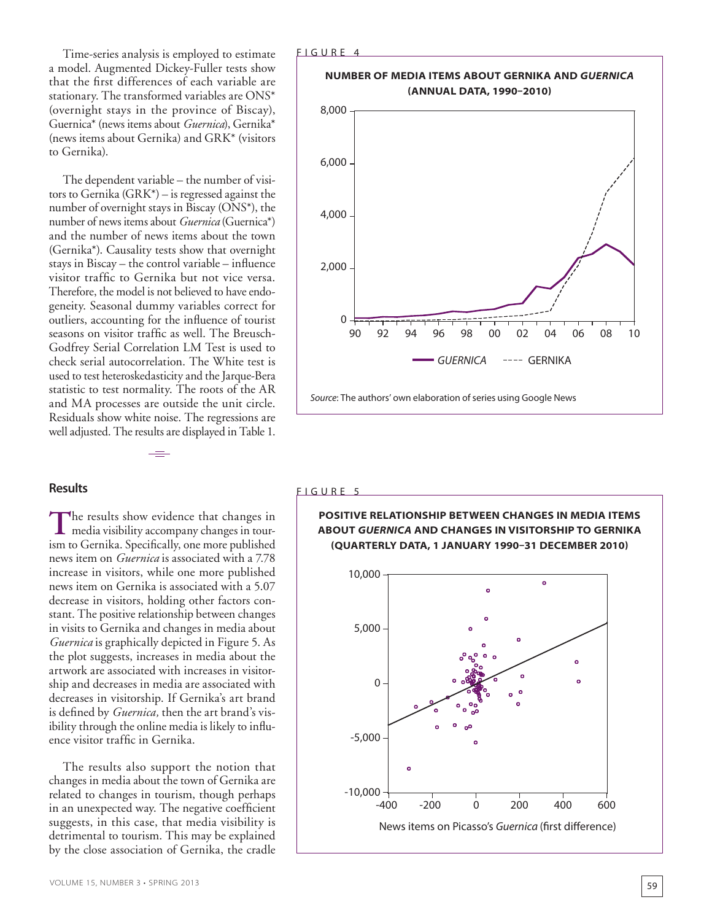Time-series analysis is employed to estimate a model. Augmented Dickey-Fuller tests show that the first differences of each variable are stationary. The transformed variables are ONS\* (overnight stays in the province of Biscay), Guernica\* (news items about *Guernica*), Gernika\* (news items about Gernika) and GRK\* (visitors to Gernika).

The dependent variable – the number of visitors to Gernika (GRK\*) – is regressed against the number of overnight stays in Biscay (ONS\*), the number of news items about *Guernica* (Guernica\*) and the number of news items about the town (Gernika\*). Causality tests show that overnight stays in Biscay – the control variable – influence visitor traffic to Gernika but not vice versa. Therefore, the model is not believed to have endogeneity. Seasonal dummy variables correct for outliers, accounting for the influence of tourist seasons on visitor traffic as well. The Breusch-Godfrey Serial Correlation LM Test is used to check serial autocorrelation. The White test is used to test heteroskedasticity and the Jarque-Bera statistic to test normality. The roots of the AR and MA processes are outside the unit circle. Residuals show white noise. The regressions are well adjusted. The results are displayed in Table 1.

# **Results**

The results show evidence that changes in<br>
media visibility accompany changes in tourism to Gernika. Specifically, one more published news item on *Guernica* is associated with a 7.78 increase in visitors, while one more published news item on Gernika is associated with a 5.07 decrease in visitors, holding other factors constant. The positive relationship between changes in visits to Gernika and changes in media about *Guernica* is graphically depicted in Figure 5. As the plot suggests, increases in media about the artwork are associated with increases in visitorship and decreases in media are associated with decreases in visitorship. If Gernika's art brand is defined by *Guernica,* then the art brand's visibility through the online media is likely to influence visitor traffic in Gernika.

The results also support the notion that changes in media about the town of Gernika are related to changes in tourism, though perhaps in an unexpected way. The negative coefficient suggests, in this case, that media visibility is detrimental to tourism. This may be explained by the close association of Gernika, the cradle



#### FIGURE 5



# **POSITIVE RELATIONSHIP BETWEEN CHANGES IN MEDIA ITEMS ABOUT** *GUERNICA* **AND CHANGES IN VISITORSHIP TO GERNIKA**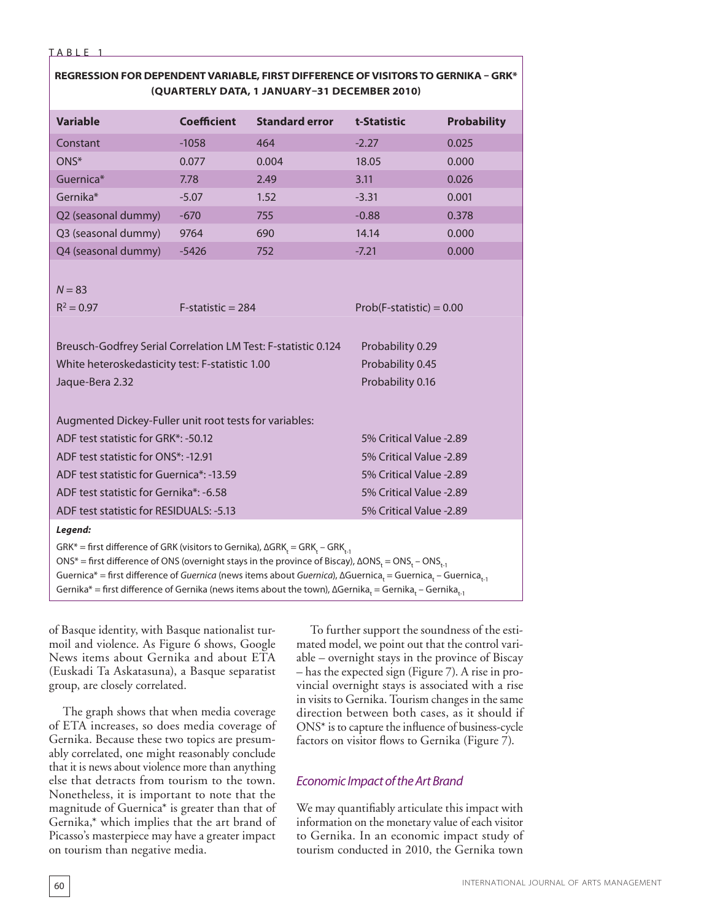#### TABLE

# **REGRESSION FOR DEPENDENT VARIABLE, FIRST DIFFERENCE OF VISITORS TO GERNIKA – GRK\* (QUARTERLY DATA, 1 JANUARY–31 DECEMBER 2010)**

| <b>Variable</b>                                                                                                                                                                                                                                                                                                                                                                                                                                                                                                                                                                 | <b>Coefficient</b>   | <b>Standard error</b> | t-Statistic                | <b>Probability</b> |
|---------------------------------------------------------------------------------------------------------------------------------------------------------------------------------------------------------------------------------------------------------------------------------------------------------------------------------------------------------------------------------------------------------------------------------------------------------------------------------------------------------------------------------------------------------------------------------|----------------------|-----------------------|----------------------------|--------------------|
| Constant                                                                                                                                                                                                                                                                                                                                                                                                                                                                                                                                                                        | $-1058$              | 464                   | $-2.27$                    | 0.025              |
| ONS*                                                                                                                                                                                                                                                                                                                                                                                                                                                                                                                                                                            | 0.077                | 0.004                 | 18.05                      | 0.000              |
| Guernica*                                                                                                                                                                                                                                                                                                                                                                                                                                                                                                                                                                       | 7.78                 | 2.49                  | 3.11                       | 0.026              |
| Gernika*                                                                                                                                                                                                                                                                                                                                                                                                                                                                                                                                                                        | $-5.07$              | 1.52                  | $-3.31$                    | 0.001              |
| Q2 (seasonal dummy)                                                                                                                                                                                                                                                                                                                                                                                                                                                                                                                                                             | $-670$               | 755                   | $-0.88$                    | 0.378              |
| Q3 (seasonal dummy)                                                                                                                                                                                                                                                                                                                                                                                                                                                                                                                                                             | 9764                 | 690                   | 14.14                      | 0.000              |
| Q4 (seasonal dummy)                                                                                                                                                                                                                                                                                                                                                                                                                                                                                                                                                             | $-5426$              | 752                   | $-7.21$                    | 0.000              |
| $N = 83$<br>$R^2 = 0.97$                                                                                                                                                                                                                                                                                                                                                                                                                                                                                                                                                        | $F$ -statistic = 284 |                       | $Prob(F-statistic) = 0.00$ |                    |
|                                                                                                                                                                                                                                                                                                                                                                                                                                                                                                                                                                                 |                      |                       |                            |                    |
| Breusch-Godfrey Serial Correlation LM Test: F-statistic 0.124<br>Probability 0.29                                                                                                                                                                                                                                                                                                                                                                                                                                                                                               |                      |                       |                            |                    |
| White heteroskedasticity test: F-statistic 1.00                                                                                                                                                                                                                                                                                                                                                                                                                                                                                                                                 |                      |                       | Probability 0.45           |                    |
| Jaque-Bera 2.32                                                                                                                                                                                                                                                                                                                                                                                                                                                                                                                                                                 |                      |                       | Probability 0.16           |                    |
|                                                                                                                                                                                                                                                                                                                                                                                                                                                                                                                                                                                 |                      |                       |                            |                    |
| Augmented Dickey-Fuller unit root tests for variables:                                                                                                                                                                                                                                                                                                                                                                                                                                                                                                                          |                      |                       |                            |                    |
| ADF test statistic for GRK*: -50.12                                                                                                                                                                                                                                                                                                                                                                                                                                                                                                                                             |                      |                       | 5% Critical Value -2.89    |                    |
| ADF test statistic for ONS*: -12.91                                                                                                                                                                                                                                                                                                                                                                                                                                                                                                                                             |                      |                       | 5% Critical Value -2.89    |                    |
| ADF test statistic for Guernica*: -13.59                                                                                                                                                                                                                                                                                                                                                                                                                                                                                                                                        |                      |                       | 5% Critical Value -2.89    |                    |
| ADF test statistic for Gernika*: -6.58                                                                                                                                                                                                                                                                                                                                                                                                                                                                                                                                          |                      |                       | 5% Critical Value -2.89    |                    |
| ADF test statistic for RESIDUALS: -5.13                                                                                                                                                                                                                                                                                                                                                                                                                                                                                                                                         |                      |                       | 5% Critical Value -2.89    |                    |
| Legend:                                                                                                                                                                                                                                                                                                                                                                                                                                                                                                                                                                         |                      |                       |                            |                    |
| GRK* = first difference of GRK (visitors to Gernika), $\Delta$ GRK <sub>t</sub> = GRK <sub>t</sub> - GRK <sub>t-1</sub><br>ONS* = first difference of ONS (overnight stays in the province of Biscay), $\Delta$ ONS <sub>t</sub> = ONS <sub>t</sub> - ONS <sub>t-1</sub><br>Guernica* = first difference of Guernica (news items about Guernica), ΔGuernica <sub>t</sub> = Guernica <sub>t</sub> - Guernica <sub>t-1</sub><br>Gernika* = first difference of Gernika (news items about the town), $\Delta$ Gernika <sub>t</sub> = Gernika <sub>t</sub> - Gernika <sub>t-1</sub> |                      |                       |                            |                    |

of Basque identity, with Basque nationalist turmoil and violence. As Figure 6 shows, Google News items about Gernika and about ETA (Euskadi Ta Askatasuna), a Basque separatist group, are closely correlated.

The graph shows that when media coverage of ETA increases, so does media coverage of Gernika. Because these two topics are presumably correlated, one might reasonably conclude that it is news about violence more than anything else that detracts from tourism to the town. Nonetheless, it is important to note that the magnitude of Guernica\* is greater than that of Gernika,\* which implies that the art brand of Picasso's masterpiece may have a greater impact on tourism than negative media.

To further support the soundness of the estimated model, we point out that the control variable – overnight stays in the province of Biscay – has the expected sign (Figure 7). A rise in provincial overnight stays is associated with a rise in visits to Gernika. Tourism changes in the same direction between both cases, as it should if ONS\* is to capture the influence of business-cycle factors on visitor flows to Gernika (Figure 7).

# *Economic Impact of the Art Brand*

We may quantifiably articulate this impact with information on the monetary value of each visitor to Gernika. In an economic impact study of tourism conducted in 2010, the Gernika town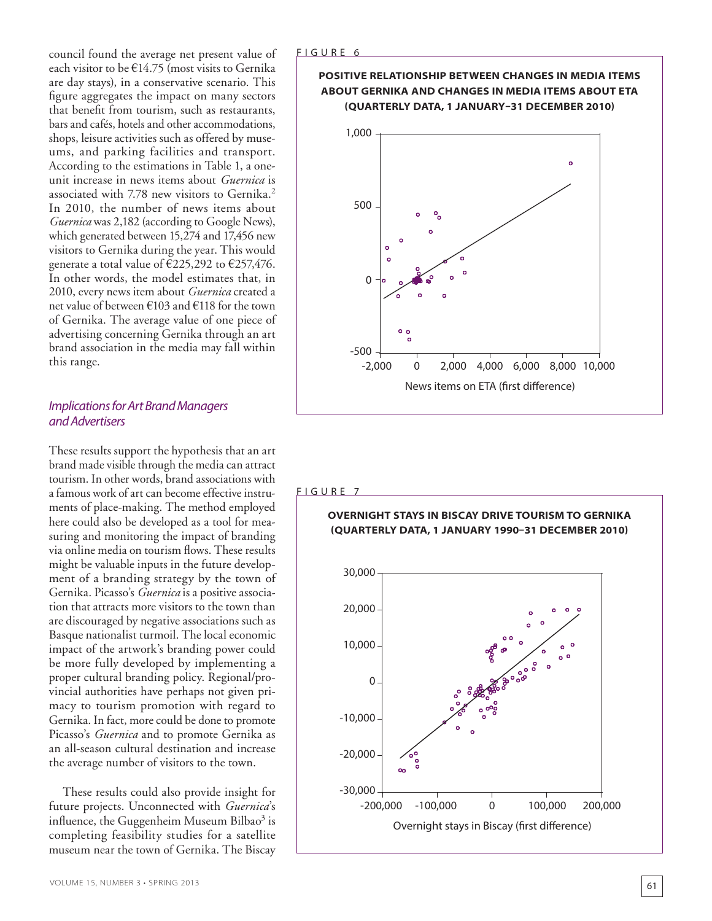council found the average net present value of each visitor to be €14.75 (most visits to Gernika are day stays), in a conservative scenario. This figure aggregates the impact on many sectors that benefit from tourism, such as restaurants, bars and cafés, hotels and other accommodations, shops, leisure activities such as offered by museums, and parking facilities and transport. According to the estimations in Table 1, a oneunit increase in news items about *Guernica* is associated with 7.78 new visitors to Gernika.<sup>2</sup> In 2010, the number of news items about *Guernica* was 2,182 (according to Google News), which generated between 15,274 and 17,456 new visitors to Gernika during the year. This would generate a total value of  $\text{\textsterling}225,292$  to  $\text{\textsterling}257,476$ . In other words, the model estimates that, in 2010, every news item about *Guernica* created a net value of between €103 and €118 for the town of Gernika. The average value of one piece of advertising concerning Gernika through an art brand association in the media may fall within this range.

# *Implications for Art Brand Managers and Advertisers*

These results support the hypothesis that an art brand made visible through the media can attract tourism. In other words, brand associations with a famous work of art can become effective instruments of place-making. The method employed here could also be developed as a tool for measuring and monitoring the impact of branding via online media on tourism flows. These results might be valuable inputs in the future development of a branding strategy by the town of Gernika. Picasso's *Guernica* is a positive association that attracts more visitors to the town than are discouraged by negative associations such as Basque nationalist turmoil. The local economic impact of the artwork's branding power could be more fully developed by implementing a proper cultural branding policy. Regional/provincial authorities have perhaps not given primacy to tourism promotion with regard to Gernika. In fact, more could be done to promote Picasso's *Guernica* and to promote Gernika as an all-season cultural destination and increase the average number of visitors to the town.

These results could also provide insight for future projects. Unconnected with *Guernica*'s influence, the Guggenheim Museum Bilbao<sup>3</sup> is completing feasibility studies for a satellite museum near the town of Gernika. The Biscay



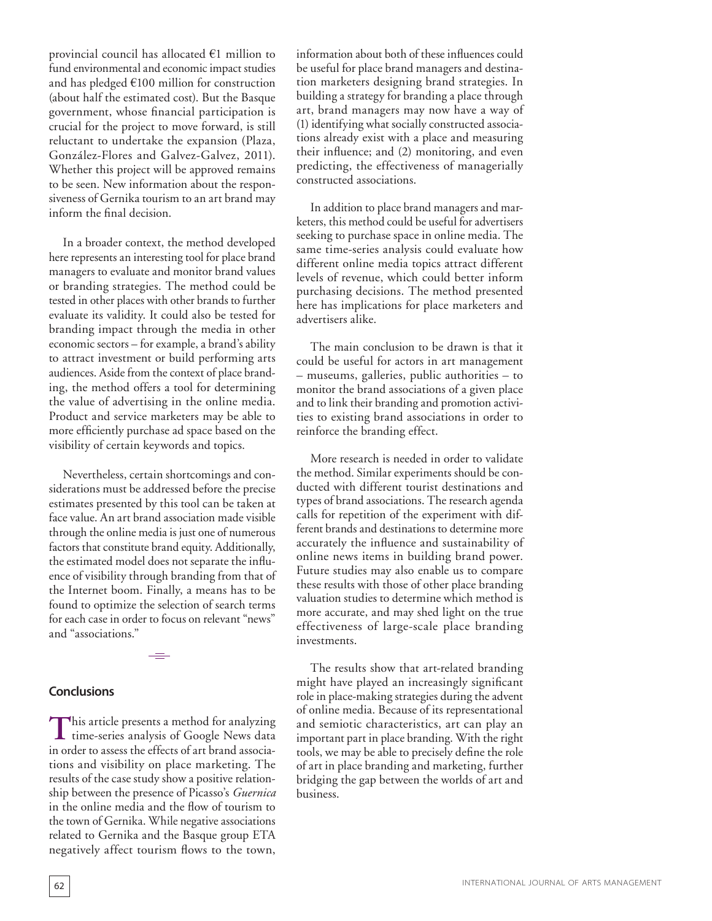provincial council has allocated €1 million to fund environmental and economic impact studies and has pledged  $€100$  million for construction (about half the estimated cost). But the Basque government, whose financial participation is crucial for the project to move forward, is still reluctant to undertake the expansion (Plaza, González-Flores and Galvez-Galvez, 2011). Whether this project will be approved remains to be seen. New information about the responsiveness of Gernika tourism to an art brand may inform the final decision.

In a broader context, the method developed here represents an interesting tool for place brand managers to evaluate and monitor brand values or branding strategies. The method could be tested in other places with other brands to further evaluate its validity. It could also be tested for branding impact through the media in other economic sectors – for example, a brand's ability to attract investment or build performing arts audiences. Aside from the context of place branding, the method offers a tool for determining the value of advertising in the online media. Product and service marketers may be able to more efficiently purchase ad space based on the visibility of certain keywords and topics.

Nevertheless, certain shortcomings and considerations must be addressed before the precise estimates presented by this tool can be taken at face value. An art brand association made visible through the online media is just one of numerous factors that constitute brand equity. Additionally, the estimated model does not separate the influence of visibility through branding from that of the Internet boom. Finally, a means has to be found to optimize the selection of search terms for each case in order to focus on relevant "news" and "associations."

# **Conclusions**

This article presents a method for analyzing **L** time-series analysis of Google News data in order to assess the effects of art brand associations and visibility on place marketing. The results of the case study show a positive relationship between the presence of Picasso's *Guernica* in the online media and the flow of tourism to the town of Gernika. While negative associations related to Gernika and the Basque group ETA negatively affect tourism flows to the town,

information about both of these influences could be useful for place brand managers and destination marketers designing brand strategies. In building a strategy for branding a place through art, brand managers may now have a way of (1) identifying what socially constructed associations already exist with a place and measuring their influence; and (2) monitoring, and even predicting, the effectiveness of managerially constructed associations.

In addition to place brand managers and marketers, this method could be useful for advertisers seeking to purchase space in online media. The same time-series analysis could evaluate how different online media topics attract different levels of revenue, which could better inform purchasing decisions. The method presented here has implications for place marketers and advertisers alike.

The main conclusion to be drawn is that it could be useful for actors in art management – museums, galleries, public authorities – to monitor the brand associations of a given place and to link their branding and promotion activities to existing brand associations in order to reinforce the branding effect.

More research is needed in order to validate the method. Similar experiments should be conducted with different tourist destinations and types of brand associations. The research agenda calls for repetition of the experiment with different brands and destinations to determine more accurately the influence and sustainability of online news items in building brand power. Future studies may also enable us to compare these results with those of other place branding valuation studies to determine which method is more accurate, and may shed light on the true effectiveness of large-scale place branding investments.

The results show that art-related branding might have played an increasingly significant role in place-making strategies during the advent of online media. Because of its representational and semiotic characteristics, art can play an important part in place branding. With the right tools, we may be able to precisely define the role of art in place branding and marketing, further bridging the gap between the worlds of art and business.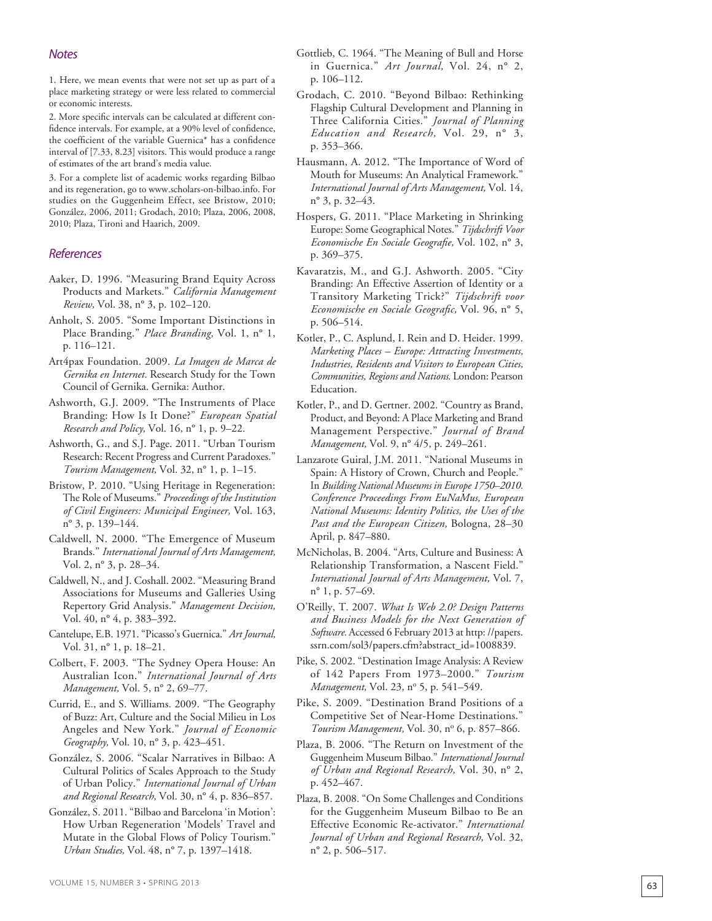# *Notes*

1. Here, we mean events that were not set up as part of a place marketing strategy or were less related to commercial or economic interests.

2. More specific intervals can be calculated at different con fidence intervals. For example, at a 90% level of confidence, the coefficient of the variable Guernica\* has a confidence interval of [7.33, 8.23] visitors. This would produce a range of estimates of the art brand's media value.

3. For a complete list of academic works regarding Bilbao and its regeneration, go to www.scholars-on-bilbao.info. For studies on the Guggenheim Effect, see Bristow, 2010; González, 2006, 2011; Grodach, 2010; Plaza, 2006, 2008, 2010; Plaza, Tironi and Haarich, 2009.

#### *References*

- Aaker, D. 1996. "Measuring Brand Equity Across Products and Markets." *California Management Review,* Vol. 38, n° 3, p. 102–120.
- Anholt, S. 2005. "Some Important Distinctions in Place Branding." *Place Branding,* Vol. 1, n° 1, p. 116–121.
- Art4pax Foundation. 2009. *La Imagen de Marca de Gernika en Internet.* Research Study for the Town Council of Gernika. Gernika: Author.
- Ashworth, G.J. 2009. "The Instruments of Place Branding: How Is It Done?" *European Spatial Research and Policy,* Vol. 16, n° 1, p. 9–22.
- Ashworth, G., and S.J. Page. 2011. "Urban Tourism Research: Recent Progress and Current Paradoxes." *Tourism Management,* Vol. 32, n° 1, p. 1–15.
- Bristow, P. 2010. "Using Heritage in Regeneration: The Role of Museums." *Proceedings of the Institution of Civil Engineers: Municipal Engineer,* Vol. 163, n° 3, p. 139–144.
- Caldwell, N. 2000. "The Emergence of Museum Brands." *International Journal of Arts Management,* Vol. 2, n° 3, p. 28–34.
- Caldwell, N., and J. Coshall. 2002. "Measuring Brand Associations for Museums and Galleries Using Repertory Grid Analysis." *Management Decision,* Vol. 40, n° 4, p. 383–392.
- Cantelupe, E.B. 1971. "Picasso's Guernica." *Art Journal,* Vol. 31, n° 1, p. 18–21.
- Colbert, F. 2003. "The Sydney Opera House: An Australian Icon." *International Journal of Arts Management,* Vol. 5, n° 2, 69–77.
- Currid, E., and S. Williams. 2009. "The Geography of Buzz: Art, Culture and the Social Milieu in Los Angeles and New York." *Journal of Economic Geography,* Vol. 10, n° 3, p. 423–451.
- González, S. 2006. "Scalar Narratives in Bilbao: A Cultural Politics of Scales Approach to the Study of Urban Policy." *International Journal of Urban and Regional Research,* Vol. 30, n° 4, p. 836–857.
- González, S. 2011. "Bilbao and Barcelona 'in Motion': How Urban Regeneration 'Models' Travel and Mutate in the Global Flows of Policy Tourism." *Urban Studies,* Vol. 48, n° 7, p. 1397–1418.
- Gottlieb, C. 1964. "The Meaning of Bull and Horse in Guernica." *Art Journal,* Vol. 24, n° 2, p. 106–112.
- Grodach, C. 2010. "Beyond Bilbao: Rethinking Flagship Cultural Development and Planning in Three California Cities." *Journal of Planning Education and Research,* Vol. 29, n° 3, p. 353–366.
- Hausmann, A. 2012. "The Importance of Word of Mouth for Museums: An Analytical Framework." *International Journal of Arts Management,* Vol. 14, n° 3, p. 32–43.
- Hospers, G. 2011. "Place Marketing in Shrinking Europe: Some Geographical Notes." *Tijdschrift Voor Economische En Sociale Geografie,* Vol. 102, n° 3, p. 369–375.
- Kavaratzis, M., and G.J. Ashworth. 2005. "City Branding: An Effective Assertion of Identity or a Transitory Marketing Trick?" *Tijdschrift voor Economische en Sociale Geografic,* Vol. 96, n° 5, p. 506–514.
- Kotler, P., C. Asplund, I. Rein and D. Heider. 1999. *Marketing Places – Europe: Attracting Investments, Industries, Residents and Visitors to European Cities, Communities, Regions and Nations*. London: Pearson Education.
- Kotler, P., and D. Gertner. 2002. "Country as Brand, Product, and Beyond: A Place Marketing and Brand Management Perspective." *Journal of Brand Management,* Vol. 9, n° 4/5, p. 249–261.
- Lanzarote Guiral, J.M. 2011. "National Museums in Spain: A History of Crown, Church and People." In *Building National Museums in Europe 1750–2010. Conference Proceedings From EuNaMus, European National Museums: Identity Politics, the Uses of the Past and the European Citizen,* Bologna, 28–30 April, p. 847–880.
- McNicholas, B. 2004. "Arts, Culture and Business: A Relationship Transformation, a Nascent Field." *International Journal of Arts Management,* Vol. 7, n° 1, p. 57–69.
- O'Reilly, T. 2007. *What Is Web 2.0? Design Patterns and Business Models for the Next Generation of Software.* Accessed 6 February 2013 at http: //papers. ssrn.com/sol3/papers.cfm?abstract\_id=1008839.
- Pike, S. 2002. "Destination Image Analysis: A Review of 142 Papers From 1973–2000." *Tourism*  Management, Vol. 23, nº 5, p. 541-549.
- Pike, S. 2009. "Destination Brand Positions of a Competitive Set of Near-Home Destinations." Tourism Management, Vol. 30, nº 6, p. 857-866.
- Plaza, B. 2006. "The Return on Investment of the Guggenheim Museum Bilbao." *International Journal of Urban and Regional Research,* Vol. 30, n° 2, p. 452–467.
- Plaza, B. 2008. "On Some Challenges and Conditions for the Guggenheim Museum Bilbao to Be an Effective Economic Re-activator." *International Journal of Urban and Regional Research,* Vol. 32, n° 2, p. 506–517.